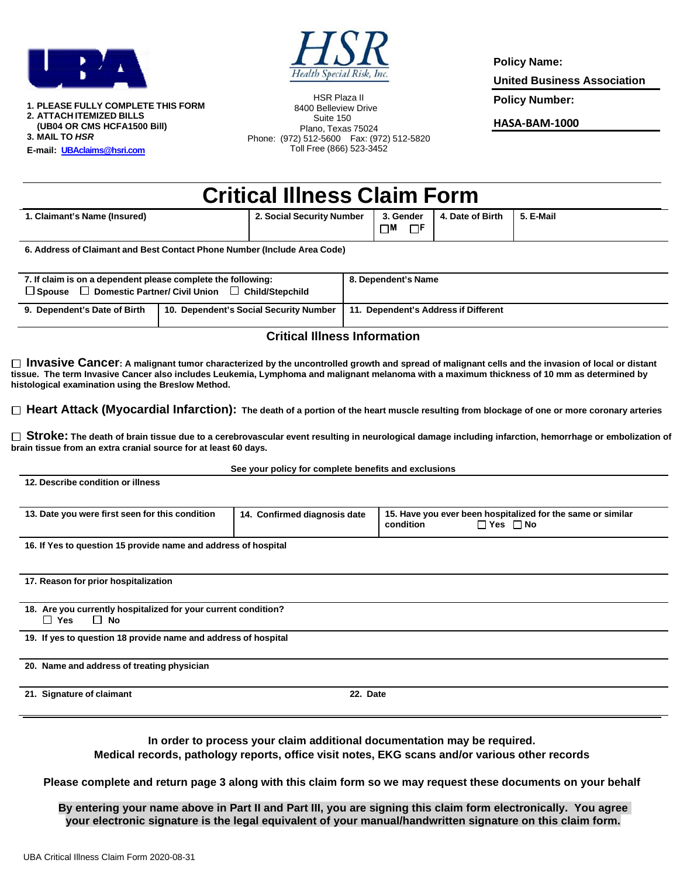



**1. PLEASE FULLY COMPLETE THIS FORM 2. ATTACH ITEMIZED BILLS (UB04 OR CMS HCFA1500 Bill) 3. MAIL TO** *HSR*

**E-mail: [UBAclaims@hsri.com](mailto:UBAclaims@hsri.com)**

**1. Claimant's Name** 

HSR Plaza II 8400 Belleview Drive Suite 150 Plano, Texas 75024 Phone: (972) 512-5600 Fax: (972) 512-5820 Toll Free (866) 523-3452

**Policy Name:**

**United Business Association** 

**Policy Number:**

**HASA-BAM-1000**

| <b>Critical Illness Claim Form</b> |                           |          |                              |           |  |  |
|------------------------------------|---------------------------|----------|------------------------------|-----------|--|--|
| (Insured)                          | 2. Social Security Number | $\neg$ M | 3. Gender   4. Date of Birth | 5. E-Mail |  |  |

**6. Address of Claimant and Best Contact Phone Number (Include Area Code)**

| 7. If claim is on a dependent please complete the following:<br>$\Box$ Domestic Partner/ Civil Union<br>□ Child/Stepchild<br>$\Box$ Spouse |                                        | 8. Dependent's Name                  |  |
|--------------------------------------------------------------------------------------------------------------------------------------------|----------------------------------------|--------------------------------------|--|
| 9. Dependent's Date of Birth                                                                                                               | 10. Dependent's Social Security Number | 11. Dependent's Address if Different |  |

## **Critical Illness Information**

□ **Invasive Cancer**: A malignant tumor characterized by the uncontrolled growth and spread of malignant cells and the invasion of local or distant **tissue. The term Invasive Cancer also includes Leukemia, Lymphoma and malignant melanoma with a maximum thickness of 10 mm as determined by histological examination using the Breslow Method.** 

 **Heart Attack (Myocardial Infarction): The death of a portion of the heart muscle resulting from blockage of one or more coronary arteries** 

□ Stroke: The death of brain tissue due to a cerebrovascular event resulting in neurological damage including infarction, hemorrhage or embolization of **brain tissue from an extra cranial source for at least 60 days.** 

|                                                                                           | See your policy for complete benefits and exclusions |                                                                                                  |
|-------------------------------------------------------------------------------------------|------------------------------------------------------|--------------------------------------------------------------------------------------------------|
| 12. Describe condition or illness                                                         |                                                      |                                                                                                  |
| 13. Date you were first seen for this condition                                           | 14. Confirmed diagnosis date                         | 15. Have you ever been hospitalized for the same or similar<br>condition<br>$\Box$ Yes $\Box$ No |
| 16. If Yes to question 15 provide name and address of hospital                            |                                                      |                                                                                                  |
| 17. Reason for prior hospitalization                                                      |                                                      |                                                                                                  |
| 18. Are you currently hospitalized for your current condition?<br>$\Box$ No<br>$\Box$ Yes |                                                      |                                                                                                  |
| 19. If yes to question 18 provide name and address of hospital                            |                                                      |                                                                                                  |
| 20. Name and address of treating physician                                                |                                                      |                                                                                                  |
| 21. Signature of claimant                                                                 | 22. Date                                             |                                                                                                  |

**In order to process your claim additional documentation may be required. Medical records, pathology reports, office visit notes, EKG scans and/or various other records**

**Please complete and return page 3 along with this claim form so we may request these documents on your behalf**

**By entering your name above in Part II and Part III, you are signing this claim form electronically. You agree your electronic signature is the legal equivalent of your manual/handwritten signature on this claim form.**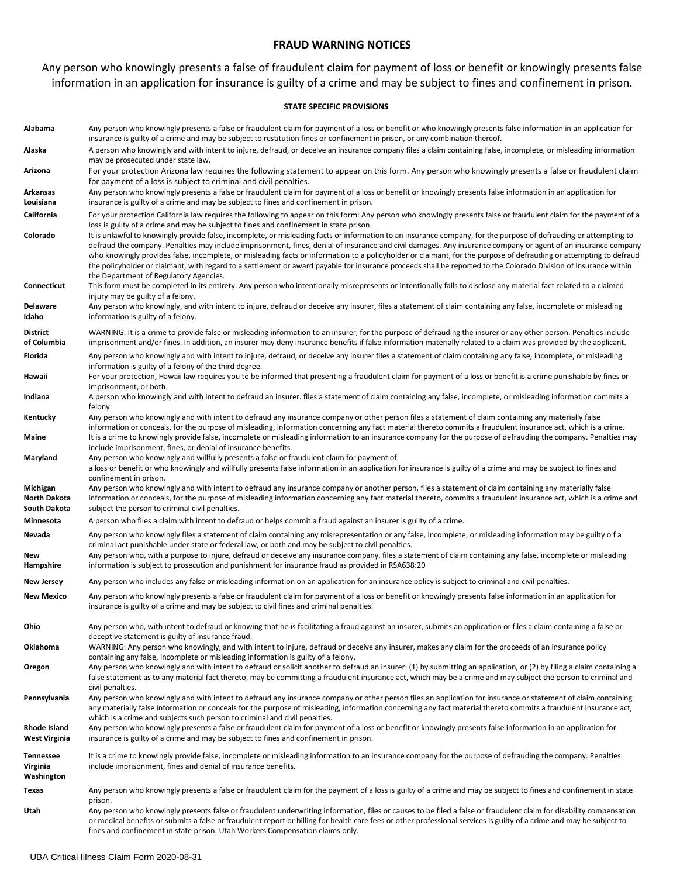### **FRAUD WARNING NOTICES**

## Any person who knowingly presents a false of fraudulent claim for payment of loss or benefit or knowingly presents false information in an application for insurance is guilty of a crime and may be subject to fines and confinement in prison.

#### **STATE SPECIFIC PROVISIONS**

| Alabama                                  | Any person who knowingly presents a false or fraudulent claim for payment of a loss or benefit or who knowingly presents false information in an application for<br>insurance is guilty of a crime and may be subject to restitution fines or confinement in prison, or any combination thereof.                                                                                                                                                                                                                                                                                                                                                                                                                       |
|------------------------------------------|------------------------------------------------------------------------------------------------------------------------------------------------------------------------------------------------------------------------------------------------------------------------------------------------------------------------------------------------------------------------------------------------------------------------------------------------------------------------------------------------------------------------------------------------------------------------------------------------------------------------------------------------------------------------------------------------------------------------|
| Alaska                                   | A person who knowingly and with intent to injure, defraud, or deceive an insurance company files a claim containing false, incomplete, or misleading information<br>may be prosecuted under state law.                                                                                                                                                                                                                                                                                                                                                                                                                                                                                                                 |
| Arizona                                  | For your protection Arizona law requires the following statement to appear on this form. Any person who knowingly presents a false or fraudulent claim<br>for payment of a loss is subject to criminal and civil penalties.                                                                                                                                                                                                                                                                                                                                                                                                                                                                                            |
| Arkansas                                 | Any person who knowingly presents a false or fraudulent claim for payment of a loss or benefit or knowingly presents false information in an application for                                                                                                                                                                                                                                                                                                                                                                                                                                                                                                                                                           |
| Louisiana                                | insurance is guilty of a crime and may be subject to fines and confinement in prison.                                                                                                                                                                                                                                                                                                                                                                                                                                                                                                                                                                                                                                  |
| California                               | For your protection California law requires the following to appear on this form: Any person who knowingly presents false or fraudulent claim for the payment of a<br>loss is guilty of a crime and may be subject to fines and confinement in state prison.                                                                                                                                                                                                                                                                                                                                                                                                                                                           |
| Colorado                                 | It is unlawful to knowingly provide false, incomplete, or misleading facts or information to an insurance company, for the purpose of defrauding or attempting to<br>defraud the company. Penalties may include imprisonment, fines, denial of insurance and civil damages. Any insurance company or agent of an insurance company<br>who knowingly provides false, incomplete, or misleading facts or information to a policyholder or claimant, for the purpose of defrauding or attempting to defraud<br>the policyholder or claimant, with regard to a settlement or award payable for insurance proceeds shall be reported to the Colorado Division of Insurance within<br>the Department of Regulatory Agencies. |
| Connecticut                              | This form must be completed in its entirety. Any person who intentionally misrepresents or intentionally fails to disclose any material fact related to a claimed<br>injury may be guilty of a felony.                                                                                                                                                                                                                                                                                                                                                                                                                                                                                                                 |
| Delaware<br>Idaho                        | Any person who knowingly, and with intent to injure, defraud or deceive any insurer, files a statement of claim containing any false, incomplete or misleading<br>information is guilty of a felony.                                                                                                                                                                                                                                                                                                                                                                                                                                                                                                                   |
| District<br>of Columbia                  | WARNING: It is a crime to provide false or misleading information to an insurer, for the purpose of defrauding the insurer or any other person. Penalties include<br>imprisonment and/or fines. In addition, an insurer may deny insurance benefits if false information materially related to a claim was provided by the applicant.                                                                                                                                                                                                                                                                                                                                                                                  |
| Florida                                  | Any person who knowingly and with intent to injure, defraud, or deceive any insurer files a statement of claim containing any false, incomplete, or misleading<br>information is guilty of a felony of the third degree.                                                                                                                                                                                                                                                                                                                                                                                                                                                                                               |
| Hawaii                                   | For your protection, Hawaii law requires you to be informed that presenting a fraudulent claim for payment of a loss or benefit is a crime punishable by fines or<br>imprisonment, or both.                                                                                                                                                                                                                                                                                                                                                                                                                                                                                                                            |
| Indiana                                  | A person who knowingly and with intent to defraud an insurer. files a statement of claim containing any false, incomplete, or misleading information commits a<br>felony.                                                                                                                                                                                                                                                                                                                                                                                                                                                                                                                                              |
| Kentucky<br>Maine                        | Any person who knowingly and with intent to defraud any insurance company or other person files a statement of claim containing any materially false<br>information or conceals, for the purpose of misleading, information concerning any fact material thereto commits a fraudulent insurance act, which is a crime.<br>It is a crime to knowingly provide false, incomplete or misleading information to an insurance company for the purpose of defrauding the company. Penalties may                                                                                                                                                                                                                              |
|                                          | include imprisonment, fines, or denial of insurance benefits.                                                                                                                                                                                                                                                                                                                                                                                                                                                                                                                                                                                                                                                          |
| Maryland                                 | Any person who knowingly and willfully presents a false or fraudulent claim for payment of<br>a loss or benefit or who knowingly and willfully presents false information in an application for insurance is guilty of a crime and may be subject to fines and<br>confinement in prison.                                                                                                                                                                                                                                                                                                                                                                                                                               |
| Michigan<br>North Dakota<br>South Dakota | Any person who knowingly and with intent to defraud any insurance company or another person, files a statement of claim containing any materially false<br>information or conceals, for the purpose of misleading information concerning any fact material thereto, commits a fraudulent insurance act, which is a crime and<br>subject the person to criminal civil penalties.                                                                                                                                                                                                                                                                                                                                        |
| Minnesota                                | A person who files a claim with intent to defraud or helps commit a fraud against an insurer is guilty of a crime.                                                                                                                                                                                                                                                                                                                                                                                                                                                                                                                                                                                                     |
| Nevada                                   | Any person who knowingly files a statement of claim containing any misrepresentation or any false, incomplete, or misleading information may be guilty o f a<br>criminal act punishable under state or federal law, or both and may be subject to civil penalties.                                                                                                                                                                                                                                                                                                                                                                                                                                                     |
| New<br>Hampshire                         | Any person who, with a purpose to injure, defraud or deceive any insurance company, files a statement of claim containing any false, incomplete or misleading<br>information is subject to prosecution and punishment for insurance fraud as provided in RSA638:20                                                                                                                                                                                                                                                                                                                                                                                                                                                     |
| <b>New Jersey</b>                        | Any person who includes any false or misleading information on an application for an insurance policy is subject to criminal and civil penalties.                                                                                                                                                                                                                                                                                                                                                                                                                                                                                                                                                                      |
| <b>New Mexico</b>                        | Any person who knowingly presents a false or fraudulent claim for payment of a loss or benefit or knowingly presents false information in an application for<br>insurance is guilty of a crime and may be subject to civil fines and criminal penalties.                                                                                                                                                                                                                                                                                                                                                                                                                                                               |
| Ohio                                     | Any person who, with intent to defraud or knowing that he is facilitating a fraud against an insurer, submits an application or files a claim containing a false or<br>deceptive statement is guilty of insurance fraud.                                                                                                                                                                                                                                                                                                                                                                                                                                                                                               |
| Oklahoma                                 | WARNING: Any person who knowingly, and with intent to injure, defraud or deceive any insurer, makes any claim for the proceeds of an insurance policy<br>containing any false, incomplete or misleading information is guilty of a felony.                                                                                                                                                                                                                                                                                                                                                                                                                                                                             |
| Oregon                                   | Any person who knowingly and with intent to defraud or solicit another to defraud an insurer: (1) by submitting an application, or (2) by filing a claim containing a<br>false statement as to any material fact thereto, may be committing a fraudulent insurance act, which may be a crime and may subject the person to criminal and<br>civil penalties.                                                                                                                                                                                                                                                                                                                                                            |
| Pennsylvania                             | Any person who knowingly and with intent to defraud any insurance company or other person files an application for insurance or statement of claim containing<br>any materially false information or conceals for the purpose of misleading, information concerning any fact material thereto commits a fraudulent insurance act,<br>which is a crime and subjects such person to criminal and civil penalties.                                                                                                                                                                                                                                                                                                        |
| Rhode Island<br>West Virginia            | Any person who knowingly presents a false or fraudulent claim for payment of a loss or benefit or knowingly presents false information in an application for<br>insurance is guilty of a crime and may be subject to fines and confinement in prison.                                                                                                                                                                                                                                                                                                                                                                                                                                                                  |
| Tennessee<br>Virginia<br>Washington      | It is a crime to knowingly provide false, incomplete or misleading information to an insurance company for the purpose of defrauding the company. Penalties<br>include imprisonment, fines and denial of insurance benefits.                                                                                                                                                                                                                                                                                                                                                                                                                                                                                           |
| Texas                                    | Any person who knowingly presents a false or fraudulent claim for the payment of a loss is guilty of a crime and may be subject to fines and confinement in state<br>prison.                                                                                                                                                                                                                                                                                                                                                                                                                                                                                                                                           |
| Utah                                     | Any person who knowingly presents false or fraudulent underwriting information, files or causes to be filed a false or fraudulent claim for disability compensation<br>or medical benefits or submits a false or fraudulent report or billing for health care fees or other professional services is guilty of a crime and may be subject to<br>fines and confinement in state prison. Utah Workers Compensation claims only.                                                                                                                                                                                                                                                                                          |